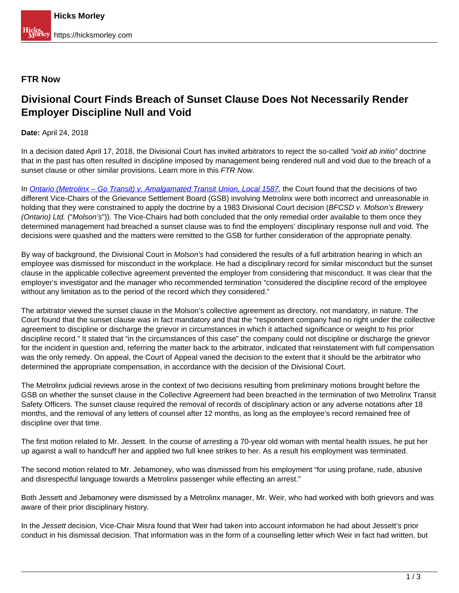## **FTR Now**

## **Divisional Court Finds Breach of Sunset Clause Does Not Necessarily Render Employer Discipline Null and Void**

**Date:** April 24, 2018

In a decision dated April 17, 2018, the Divisional Court has invited arbitrators to reject the so-called "void ab initio" doctrine that in the past has often resulted in discipline imposed by management being rendered null and void due to the breach of a sunset clause or other similar provisions. Learn more in this FTR Now.

In [Ontario \(Metrolinx – Go Transit\) v. Amalgamated Transit Union, Local 1587,](https://www.canlii.org/en/on/onscdc/doc/2018/2018onsc2342/2018onsc2342.html) the Court found that the decisions of two different Vice-Chairs of the Grievance Settlement Board (GSB) involving Metrolinx were both incorrect and unreasonable in holding that they were constrained to apply the doctrine by a 1983 Divisional Court decision (BFCSD v. Molson's Brewery (Ontario) Ltd. ("Molson's")). The Vice-Chairs had both concluded that the only remedial order available to them once they determined management had breached a sunset clause was to find the employers' disciplinary response null and void. The decisions were quashed and the matters were remitted to the GSB for further consideration of the appropriate penalty.

By way of background, the Divisional Court in Molson's had considered the results of a full arbitration hearing in which an employee was dismissed for misconduct in the workplace. He had a disciplinary record for similar misconduct but the sunset clause in the applicable collective agreement prevented the employer from considering that misconduct. It was clear that the employer's investigator and the manager who recommended termination "considered the discipline record of the employee without any limitation as to the period of the record which they considered."

The arbitrator viewed the sunset clause in the Molson's collective agreement as directory, not mandatory, in nature. The Court found that the sunset clause was in fact mandatory and that the "respondent company had no right under the collective agreement to discipline or discharge the grievor in circumstances in which it attached significance or weight to his prior discipline record." It stated that "in the circumstances of this case" the company could not discipline or discharge the grievor for the incident in question and, referring the matter back to the arbitrator, indicated that reinstatement with full compensation was the only remedy. On appeal, the Court of Appeal varied the decision to the extent that it should be the arbitrator who determined the appropriate compensation, in accordance with the decision of the Divisional Court.

The Metrolinx judicial reviews arose in the context of two decisions resulting from preliminary motions brought before the GSB on whether the sunset clause in the Collective Agreement had been breached in the termination of two Metrolinx Transit Safety Officers. The sunset clause required the removal of records of disciplinary action or any adverse notations after 18 months, and the removal of any letters of counsel after 12 months, as long as the employee's record remained free of discipline over that time.

The first motion related to Mr. Jessett. In the course of arresting a 70-year old woman with mental health issues, he put her up against a wall to handcuff her and applied two full knee strikes to her. As a result his employment was terminated.

The second motion related to Mr. Jebamoney, who was dismissed from his employment "for using profane, rude, abusive and disrespectful language towards a Metrolinx passenger while effecting an arrest."

Both Jessett and Jebamoney were dismissed by a Metrolinx manager, Mr. Weir, who had worked with both grievors and was aware of their prior disciplinary history.

In the Jessett decision, Vice-Chair Misra found that Weir had taken into account information he had about Jessett's prior conduct in his dismissal decision. That information was in the form of a counselling letter which Weir in fact had written, but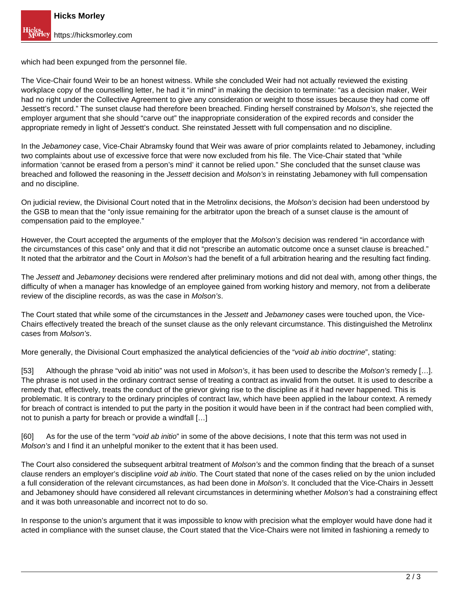which had been expunged from the personnel file.

The Vice-Chair found Weir to be an honest witness. While she concluded Weir had not actually reviewed the existing workplace copy of the counselling letter, he had it "in mind" in making the decision to terminate: "as a decision maker, Weir had no right under the Collective Agreement to give any consideration or weight to those issues because they had come off Jessett's record." The sunset clause had therefore been breached. Finding herself constrained by Molson's, she rejected the employer argument that she should "carve out" the inappropriate consideration of the expired records and consider the appropriate remedy in light of Jessett's conduct. She reinstated Jessett with full compensation and no discipline.

In the Jebamoney case, Vice-Chair Abramsky found that Weir was aware of prior complaints related to Jebamoney, including two complaints about use of excessive force that were now excluded from his file. The Vice-Chair stated that "while information 'cannot be erased from a person's mind' it cannot be relied upon." She concluded that the sunset clause was breached and followed the reasoning in the Jessett decision and Molson's in reinstating Jebamoney with full compensation and no discipline.

On judicial review, the Divisional Court noted that in the Metrolinx decisions, the Molson's decision had been understood by the GSB to mean that the "only issue remaining for the arbitrator upon the breach of a sunset clause is the amount of compensation paid to the employee."

However, the Court accepted the arguments of the employer that the Molson's decision was rendered "in accordance with the circumstances of this case" only and that it did not "prescribe an automatic outcome once a sunset clause is breached." It noted that the arbitrator and the Court in Molson's had the benefit of a full arbitration hearing and the resulting fact finding.

The Jessett and Jebamoney decisions were rendered after preliminary motions and did not deal with, among other things, the difficulty of when a manager has knowledge of an employee gained from working history and memory, not from a deliberate review of the discipline records, as was the case in Molson's.

The Court stated that while some of the circumstances in the Jessett and Jebamoney cases were touched upon, the Vice-Chairs effectively treated the breach of the sunset clause as the only relevant circumstance. This distinguished the Metrolinx cases from Molson's.

More generally, the Divisional Court emphasized the analytical deficiencies of the "void ab initio doctrine", stating:

[53] Although the phrase "void ab initio" was not used in *Molson's*, it has been used to describe the *Molson's* remedy [...]. The phrase is not used in the ordinary contract sense of treating a contract as invalid from the outset. It is used to describe a remedy that, effectively, treats the conduct of the grievor giving rise to the discipline as if it had never happened. This is problematic. It is contrary to the ordinary principles of contract law, which have been applied in the labour context. A remedy for breach of contract is intended to put the party in the position it would have been in if the contract had been complied with, not to punish a party for breach or provide a windfall […]

[60] As for the use of the term "*void ab initio*" in some of the above decisions, I note that this term was not used in Molson's and I find it an unhelpful moniker to the extent that it has been used.

The Court also considered the subsequent arbitral treatment of Molson's and the common finding that the breach of a sunset clause renders an employer's discipline void ab initio. The Court stated that none of the cases relied on by the union included a full consideration of the relevant circumstances, as had been done in Molson's. It concluded that the Vice-Chairs in Jessett and Jebamoney should have considered all relevant circumstances in determining whether Molson's had a constraining effect and it was both unreasonable and incorrect not to do so.

In response to the union's argument that it was impossible to know with precision what the employer would have done had it acted in compliance with the sunset clause, the Court stated that the Vice-Chairs were not limited in fashioning a remedy to